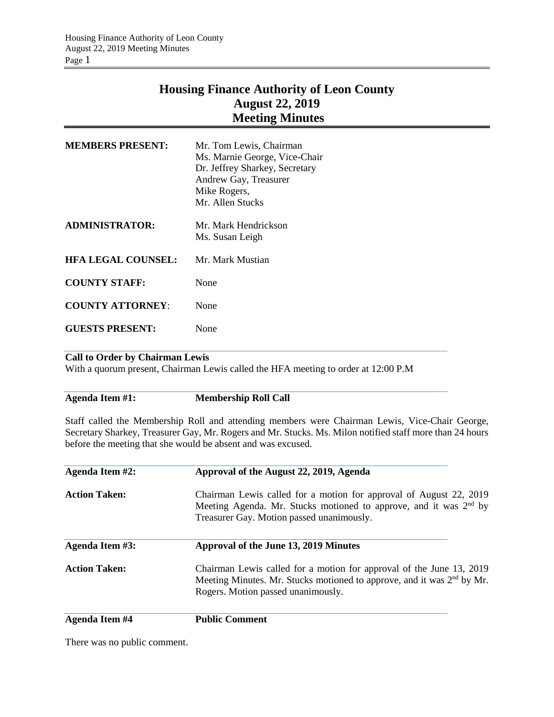# **Housing Finance Authority of Leon County August 22, 2019 Meeting Minutes**

| <b>MEMBERS PRESENT:</b>   | Mr. Tom Lewis, Chairman<br>Ms. Marnie George, Vice-Chair<br>Dr. Jeffrey Sharkey, Secretary<br>Andrew Gay, Treasurer<br>Mike Rogers,<br>Mr. Allen Stucks |
|---------------------------|---------------------------------------------------------------------------------------------------------------------------------------------------------|
| <b>ADMINISTRATOR:</b>     | Mr. Mark Hendrickson<br>Ms. Susan Leigh                                                                                                                 |
| <b>HFA LEGAL COUNSEL:</b> | Mr. Mark Mustian                                                                                                                                        |
| <b>COUNTY STAFF:</b>      | None                                                                                                                                                    |
| <b>COUNTY ATTORNEY:</b>   | None                                                                                                                                                    |
| <b>GUESTS PRESENT:</b>    | None                                                                                                                                                    |

### **Call to Order by Chairman Lewis**

With a quorum present, Chairman Lewis called the HFA meeting to order at 12:00 P.M

### **Agenda Item #1: Membership Roll Call**

Staff called the Membership Roll and attending members were Chairman Lewis, Vice-Chair George, Secretary Sharkey, Treasurer Gay, Mr. Rogers and Mr. Stucks. Ms. Milon notified staff more than 24 hours before the meeting that she would be absent and was excused.

| Agenda Item #2:       | Approval of the August 22, 2019, Agenda                                                                                                                                                          |  |  |
|-----------------------|--------------------------------------------------------------------------------------------------------------------------------------------------------------------------------------------------|--|--|
| <b>Action Taken:</b>  | Chairman Lewis called for a motion for approval of August 22, 2019<br>Meeting Agenda. Mr. Stucks motioned to approve, and it was 2 <sup>nd</sup> by<br>Treasurer Gay. Motion passed unanimously. |  |  |
| Agenda Item #3:       | Approval of the June 13, 2019 Minutes                                                                                                                                                            |  |  |
| <b>Action Taken:</b>  | Chairman Lewis called for a motion for approval of the June 13, 2019<br>Meeting Minutes. Mr. Stucks motioned to approve, and it was $2nd$ by Mr.<br>Rogers. Motion passed unanimously.           |  |  |
| <b>Agenda Item #4</b> | <b>Public Comment</b>                                                                                                                                                                            |  |  |

There was no public comment.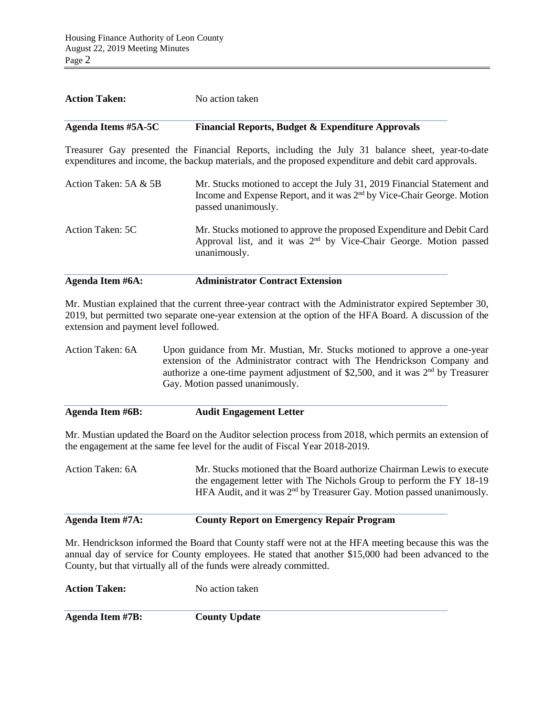| <b>Action Taken:</b><br>No action taken |                                                                                                                                                                                                           |
|-----------------------------------------|-----------------------------------------------------------------------------------------------------------------------------------------------------------------------------------------------------------|
| <b>Agenda Items #5A-5C</b>              | <b>Financial Reports, Budget &amp; Expenditure Approvals</b>                                                                                                                                              |
|                                         | Treasurer Gay presented the Financial Reports, including the July 31 balance sheet, year-to-date<br>expenditures and income, the backup materials, and the proposed expenditure and debit card approvals. |
| Action Taken: 5A & 5B                   | Mr. Stucks motioned to accept the July 31, 2019 Financial Statement and<br>Income and Expense Report, and it was 2 <sup>nd</sup> by Vice-Chair George. Motion<br>passed unanimously.                      |
| Action Taken: 5C                        | Mr. Stucks motioned to approve the proposed Expenditure and Debit Card<br>Approval list, and it was 2 <sup>nd</sup> by Vice-Chair George. Motion passed<br>unanimously.                                   |
| Agenda Item #6A:                        | <b>Administrator Contract Extension</b>                                                                                                                                                                   |

Mr. Mustian explained that the current three-year contract with the Administrator expired September 30, 2019, but permitted two separate one-year extension at the option of the HFA Board. A discussion of the extension and payment level followed.

Action Taken: 6A Upon guidance from Mr. Mustian, Mr. Stucks motioned to approve a one-year extension of the Administrator contract with The Hendrickson Company and authorize a one-time payment adjustment of \$2,500, and it was  $2<sup>nd</sup>$  by Treasurer Gay. Motion passed unanimously.

| Agenda Item #6B:<br><b>Audit Engagement Letter</b> |
|----------------------------------------------------|
|----------------------------------------------------|

Mr. Mustian updated the Board on the Auditor selection process from 2018, which permits an extension of the engagement at the same fee level for the audit of Fiscal Year 2018-2019.

Action Taken: 6A Mr. Stucks motioned that the Board authorize Chairman Lewis to execute the engagement letter with The Nichols Group to perform the FY 18-19 HFA Audit, and it was 2<sup>nd</sup> by Treasurer Gay. Motion passed unanimously.

## **Agenda Item #7A: County Report on Emergency Repair Program**

Mr. Hendrickson informed the Board that County staff were not at the HFA meeting because this was the annual day of service for County employees. He stated that another \$15,000 had been advanced to the County, but that virtually all of the funds were already committed.

| <b>Action Taken:</b> | No action taken      |
|----------------------|----------------------|
| Agenda Item #7B:     | <b>County Update</b> |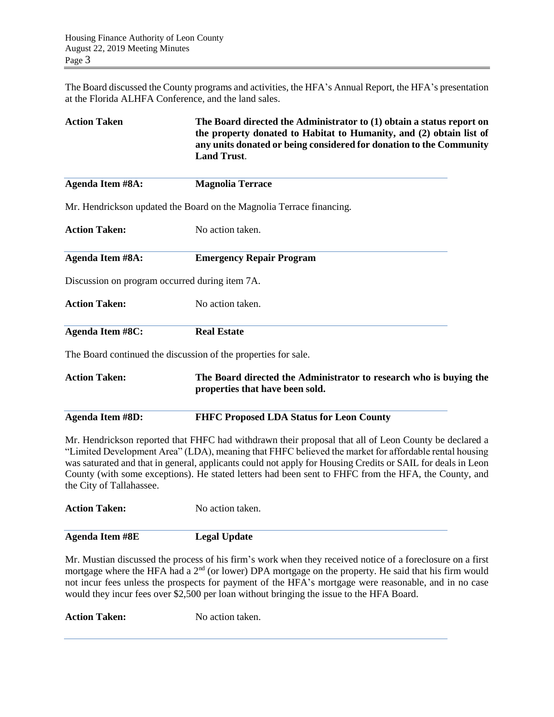The Board discussed the County programs and activities, the HFA's Annual Report, the HFA's presentation at the Florida ALHFA Conference, and the land sales.

| <b>Action Taken</b>                            | The Board directed the Administrator to (1) obtain a status report on<br>the property donated to Habitat to Humanity, and (2) obtain list of<br>any units donated or being considered for donation to the Community<br><b>Land Trust.</b>                                                                                                                                                                                             |
|------------------------------------------------|---------------------------------------------------------------------------------------------------------------------------------------------------------------------------------------------------------------------------------------------------------------------------------------------------------------------------------------------------------------------------------------------------------------------------------------|
| Agenda Item #8A:                               | <b>Magnolia Terrace</b>                                                                                                                                                                                                                                                                                                                                                                                                               |
|                                                | Mr. Hendrickson updated the Board on the Magnolia Terrace financing.                                                                                                                                                                                                                                                                                                                                                                  |
| <b>Action Taken:</b>                           | No action taken.                                                                                                                                                                                                                                                                                                                                                                                                                      |
| Agenda Item #8A:                               | <b>Emergency Repair Program</b>                                                                                                                                                                                                                                                                                                                                                                                                       |
| Discussion on program occurred during item 7A. |                                                                                                                                                                                                                                                                                                                                                                                                                                       |
| <b>Action Taken:</b>                           | No action taken.                                                                                                                                                                                                                                                                                                                                                                                                                      |
| <b>Agenda Item #8C:</b>                        | <b>Real Estate</b>                                                                                                                                                                                                                                                                                                                                                                                                                    |
|                                                | The Board continued the discussion of the properties for sale.                                                                                                                                                                                                                                                                                                                                                                        |
| <b>Action Taken:</b>                           | The Board directed the Administrator to research who is buying the<br>properties that have been sold.                                                                                                                                                                                                                                                                                                                                 |
| <b>Agenda Item #8D:</b>                        | <b>FHFC Proposed LDA Status for Leon County</b>                                                                                                                                                                                                                                                                                                                                                                                       |
| the City of Tallahassee.                       | Mr. Hendrickson reported that FHFC had withdrawn their proposal that all of Leon County be declared a<br>"Limited Development Area" (LDA), meaning that FHFC believed the market for affordable rental housing<br>was saturated and that in general, applicants could not apply for Housing Credits or SAIL for deals in Leon<br>County (with some exceptions). He stated letters had been sent to FHFC from the HFA, the County, and |
| <b>Action Taken:</b>                           | No action taken.                                                                                                                                                                                                                                                                                                                                                                                                                      |
| <b>Agenda Item #8E</b>                         | <b>Legal Update</b>                                                                                                                                                                                                                                                                                                                                                                                                                   |
|                                                | Mr. Mustian discussed the process of his firm's work when they received notice of a foreclosure on a first                                                                                                                                                                                                                                                                                                                            |

mortgage where the HFA had a 2<sup>nd</sup> (or lower) DPA mortgage on the property. He said that his firm would not incur fees unless the prospects for payment of the HFA's mortgage were reasonable, and in no case would they incur fees over \$2,500 per loan without bringing the issue to the HFA Board.

Action Taken: No action taken.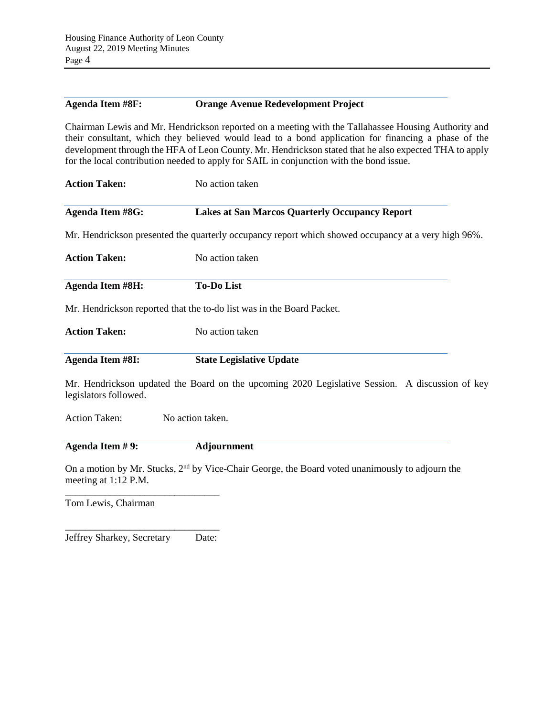### **Agenda Item #8F: Orange Avenue Redevelopment Project**

Chairman Lewis and Mr. Hendrickson reported on a meeting with the Tallahassee Housing Authority and their consultant, which they believed would lead to a bond application for financing a phase of the development through the HFA of Leon County. Mr. Hendrickson stated that he also expected THA to apply for the local contribution needed to apply for SAIL in conjunction with the bond issue.

| <b>Action Taken:</b>                                                             | No action taken                                                                                             |  |  |  |
|----------------------------------------------------------------------------------|-------------------------------------------------------------------------------------------------------------|--|--|--|
| <b>Agenda Item #8G:</b><br><b>Lakes at San Marcos Quarterly Occupancy Report</b> |                                                                                                             |  |  |  |
|                                                                                  | Mr. Hendrickson presented the quarterly occupancy report which showed occupancy at a very high 96%.         |  |  |  |
| <b>Action Taken:</b>                                                             | No action taken                                                                                             |  |  |  |
| <b>Agenda Item #8H:</b>                                                          | <b>To-Do List</b>                                                                                           |  |  |  |
|                                                                                  | Mr. Hendrickson reported that the to-do list was in the Board Packet.                                       |  |  |  |
| <b>Action Taken:</b>                                                             | No action taken                                                                                             |  |  |  |
| <b>Agenda Item #8I:</b>                                                          | <b>State Legislative Update</b>                                                                             |  |  |  |
| legislators followed.                                                            | Mr. Hendrickson updated the Board on the upcoming 2020 Legislative Session. A discussion of key             |  |  |  |
| <b>Action Taken:</b>                                                             | No action taken.                                                                                            |  |  |  |
| Agenda Item #9:                                                                  | <b>Adjournment</b>                                                                                          |  |  |  |
| meeting at 1:12 P.M.                                                             | On a motion by Mr. Stucks, 2 <sup>nd</sup> by Vice-Chair George, the Board voted unanimously to adjourn the |  |  |  |
| Tom Lewis, Chairman                                                              |                                                                                                             |  |  |  |

\_\_\_\_\_\_\_\_\_\_\_\_\_\_\_\_\_\_\_\_\_\_\_\_\_\_\_\_\_\_\_ Jeffrey Sharkey, Secretary Date: